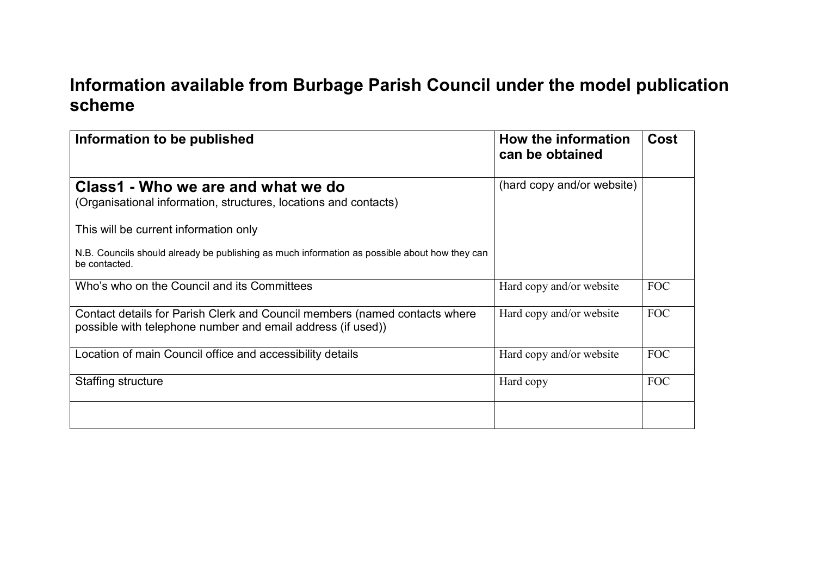## **Information available from Burbage Parish Council under the model publication scheme**

| Information to be published                                                                                                               | How the information<br>can be obtained | Cost       |
|-------------------------------------------------------------------------------------------------------------------------------------------|----------------------------------------|------------|
| Class1 - Who we are and what we do<br>(Organisational information, structures, locations and contacts)                                    | (hard copy and/or website)             |            |
| This will be current information only                                                                                                     |                                        |            |
| N.B. Councils should already be publishing as much information as possible about how they can<br>be contacted.                            |                                        |            |
| Who's who on the Council and its Committees                                                                                               | Hard copy and/or website               | <b>FOC</b> |
| Contact details for Parish Clerk and Council members (named contacts where<br>possible with telephone number and email address (if used)) | Hard copy and/or website               | <b>FOC</b> |
| Location of main Council office and accessibility details                                                                                 | Hard copy and/or website               | <b>FOC</b> |
| Staffing structure                                                                                                                        | Hard copy                              | <b>FOC</b> |
|                                                                                                                                           |                                        |            |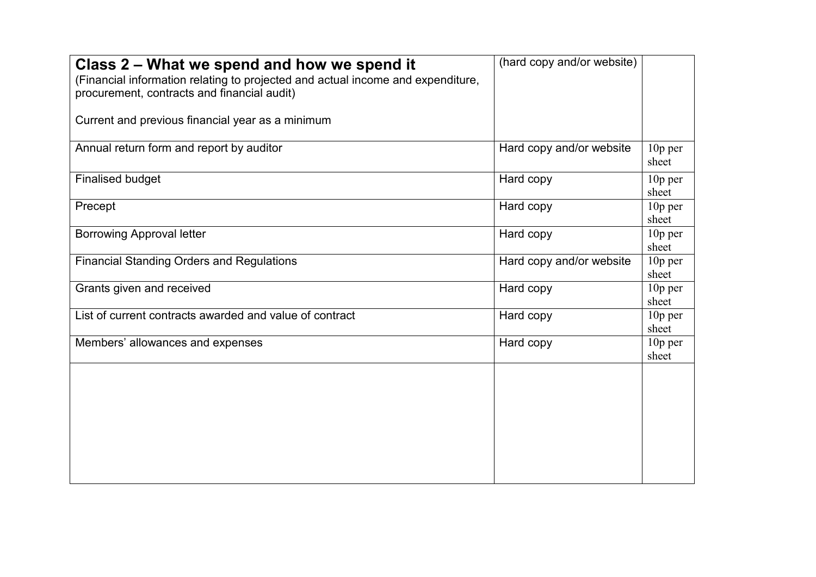| Class 2 – What we spend and how we spend it<br>(Financial information relating to projected and actual income and expenditure,<br>procurement, contracts and financial audit)<br>Current and previous financial year as a minimum | (hard copy and/or website) |                    |
|-----------------------------------------------------------------------------------------------------------------------------------------------------------------------------------------------------------------------------------|----------------------------|--------------------|
| Annual return form and report by auditor                                                                                                                                                                                          | Hard copy and/or website   | $10p$ per<br>sheet |
| <b>Finalised budget</b>                                                                                                                                                                                                           | Hard copy                  | $10p$ per<br>sheet |
| Precept                                                                                                                                                                                                                           | Hard copy                  | $10p$ per<br>sheet |
| <b>Borrowing Approval letter</b>                                                                                                                                                                                                  | Hard copy                  | $10p$ per<br>sheet |
| <b>Financial Standing Orders and Regulations</b>                                                                                                                                                                                  | Hard copy and/or website   | 10p per<br>sheet   |
| Grants given and received                                                                                                                                                                                                         | Hard copy                  | $10p$ per<br>sheet |
| List of current contracts awarded and value of contract                                                                                                                                                                           | Hard copy                  | $10p$ per<br>sheet |
| Members' allowances and expenses                                                                                                                                                                                                  | Hard copy                  | $10p$ per<br>sheet |
|                                                                                                                                                                                                                                   |                            |                    |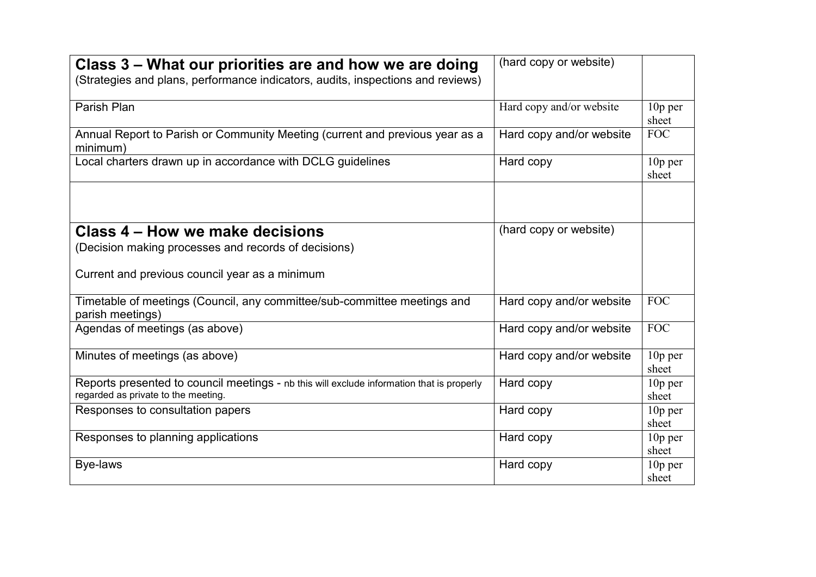| Class 3 – What our priorities are and how we are doing<br>(Strategies and plans, performance indicators, audits, inspections and reviews) | (hard copy or website)   |                              |
|-------------------------------------------------------------------------------------------------------------------------------------------|--------------------------|------------------------------|
| Parish Plan                                                                                                                               | Hard copy and/or website | $10p$ per<br>sheet           |
| Annual Report to Parish or Community Meeting (current and previous year as a<br>minimum)                                                  | Hard copy and/or website | <b>FOC</b>                   |
| Local charters drawn up in accordance with DCLG guidelines                                                                                | Hard copy                | $10p$ per<br>sheet           |
|                                                                                                                                           |                          |                              |
| Class 4 – How we make decisions                                                                                                           | (hard copy or website)   |                              |
| (Decision making processes and records of decisions)                                                                                      |                          |                              |
| Current and previous council year as a minimum                                                                                            |                          |                              |
| Timetable of meetings (Council, any committee/sub-committee meetings and<br>parish meetings)                                              | Hard copy and/or website | <b>FOC</b>                   |
| Agendas of meetings (as above)                                                                                                            | Hard copy and/or website | <b>FOC</b>                   |
| Minutes of meetings (as above)                                                                                                            | Hard copy and/or website | $10p$ per<br>sheet           |
| Reports presented to council meetings - nb this will exclude information that is properly<br>regarded as private to the meeting.          | Hard copy                | 10p per<br>sheet             |
| Responses to consultation papers                                                                                                          | Hard copy                | $10p$ per<br>sheet           |
| Responses to planning applications                                                                                                        | Hard copy                | $10p$ per<br>sheet           |
| Bye-laws                                                                                                                                  | Hard copy                | 10 <sub>p</sub> per<br>sheet |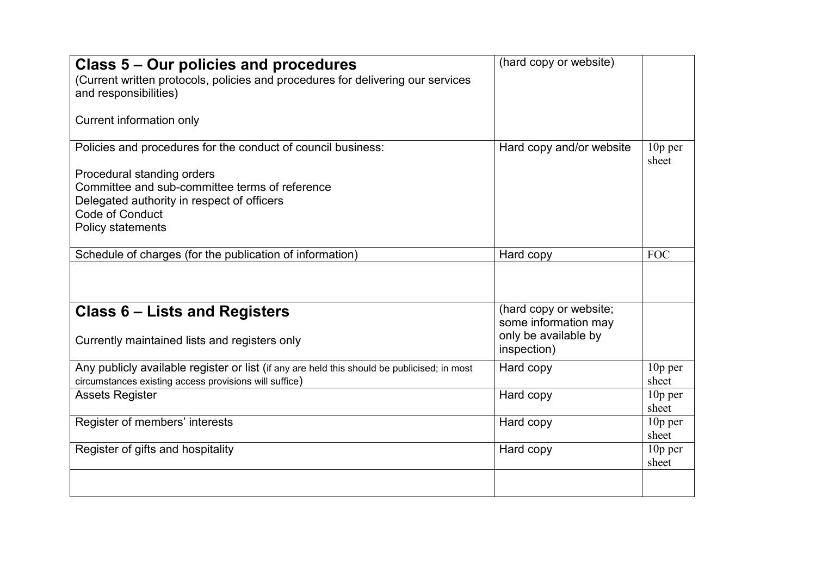| Class 5 – Our policies and procedures<br>(Current written protocols, policies and procedures for delivering our services<br>and responsibilities) | (hard copy or website)                         |                    |
|---------------------------------------------------------------------------------------------------------------------------------------------------|------------------------------------------------|--------------------|
| Current information only                                                                                                                          |                                                |                    |
| Policies and procedures for the conduct of council business:                                                                                      | Hard copy and/or website                       | $10p$ per<br>sheet |
| Procedural standing orders<br>Committee and sub-committee terms of reference                                                                      |                                                |                    |
| Delegated authority in respect of officers                                                                                                        |                                                |                    |
| Code of Conduct                                                                                                                                   |                                                |                    |
| Policy statements                                                                                                                                 |                                                |                    |
|                                                                                                                                                   |                                                |                    |
| Schedule of charges (for the publication of information)                                                                                          | Hard copy                                      | <b>FOC</b>         |
|                                                                                                                                                   |                                                |                    |
| Class 6 – Lists and Registers                                                                                                                     | (hard copy or website;<br>some information may |                    |
| Currently maintained lists and registers only                                                                                                     | only be available by<br>inspection)            |                    |
| Any publicly available register or list (if any are held this should be publicised; in most                                                       | Hard copy                                      | $10p$ per          |
| circumstances existing access provisions will suffice)                                                                                            |                                                | sheet              |
| <b>Assets Register</b>                                                                                                                            | Hard copy                                      | $10p$ per          |
|                                                                                                                                                   |                                                | sheet              |
| Register of members' interests                                                                                                                    | Hard copy                                      | $10p$ per          |
|                                                                                                                                                   |                                                | sheet              |
| Register of gifts and hospitality                                                                                                                 | Hard copy                                      | 10p per<br>sheet   |
|                                                                                                                                                   |                                                |                    |
|                                                                                                                                                   |                                                |                    |
|                                                                                                                                                   |                                                |                    |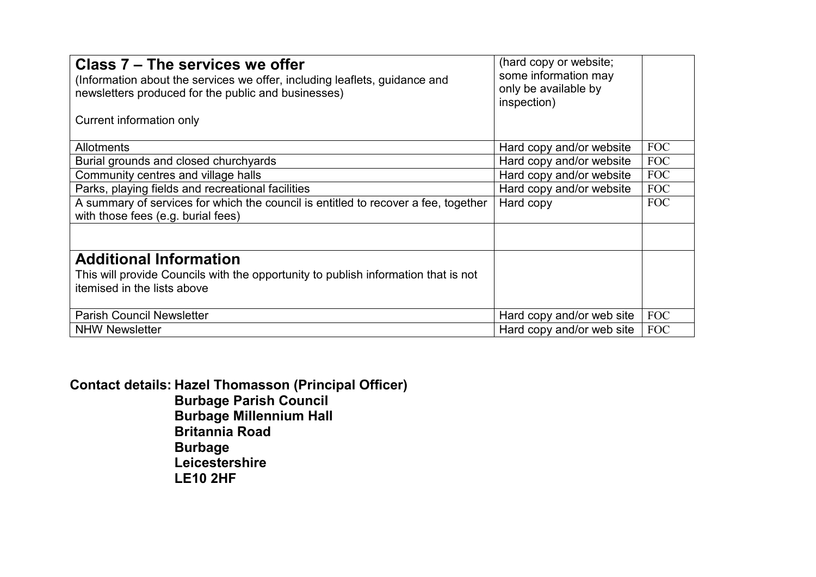| Class 7 – The services we offer<br>(Information about the services we offer, including leaflets, guidance and<br>newsletters produced for the public and businesses)<br>Current information only | (hard copy or website;<br>some information may<br>only be available by<br>inspection) |            |
|--------------------------------------------------------------------------------------------------------------------------------------------------------------------------------------------------|---------------------------------------------------------------------------------------|------------|
| <b>Allotments</b>                                                                                                                                                                                | Hard copy and/or website                                                              | FOC        |
| Burial grounds and closed churchyards                                                                                                                                                            | Hard copy and/or website                                                              | <b>FOC</b> |
| Community centres and village halls                                                                                                                                                              | Hard copy and/or website                                                              | <b>FOC</b> |
| Parks, playing fields and recreational facilities                                                                                                                                                | Hard copy and/or website                                                              | <b>FOC</b> |
| A summary of services for which the council is entitled to recover a fee, together<br>with those fees (e.g. burial fees)                                                                         | Hard copy                                                                             | <b>FOC</b> |
|                                                                                                                                                                                                  |                                                                                       |            |
| <b>Additional Information</b>                                                                                                                                                                    |                                                                                       |            |
| This will provide Councils with the opportunity to publish information that is not                                                                                                               |                                                                                       |            |
| itemised in the lists above                                                                                                                                                                      |                                                                                       |            |
| <b>Parish Council Newsletter</b>                                                                                                                                                                 | Hard copy and/or web site                                                             | <b>FOC</b> |
| <b>NHW Newsletter</b>                                                                                                                                                                            | Hard copy and/or web site                                                             | <b>FOC</b> |

**Contact details: Hazel Thomasson (Principal Officer) Burbage Parish Council Burbage Millennium Hall Britannia Road Burbage** *Exercise Leicestershire*  **LE10 2HF**